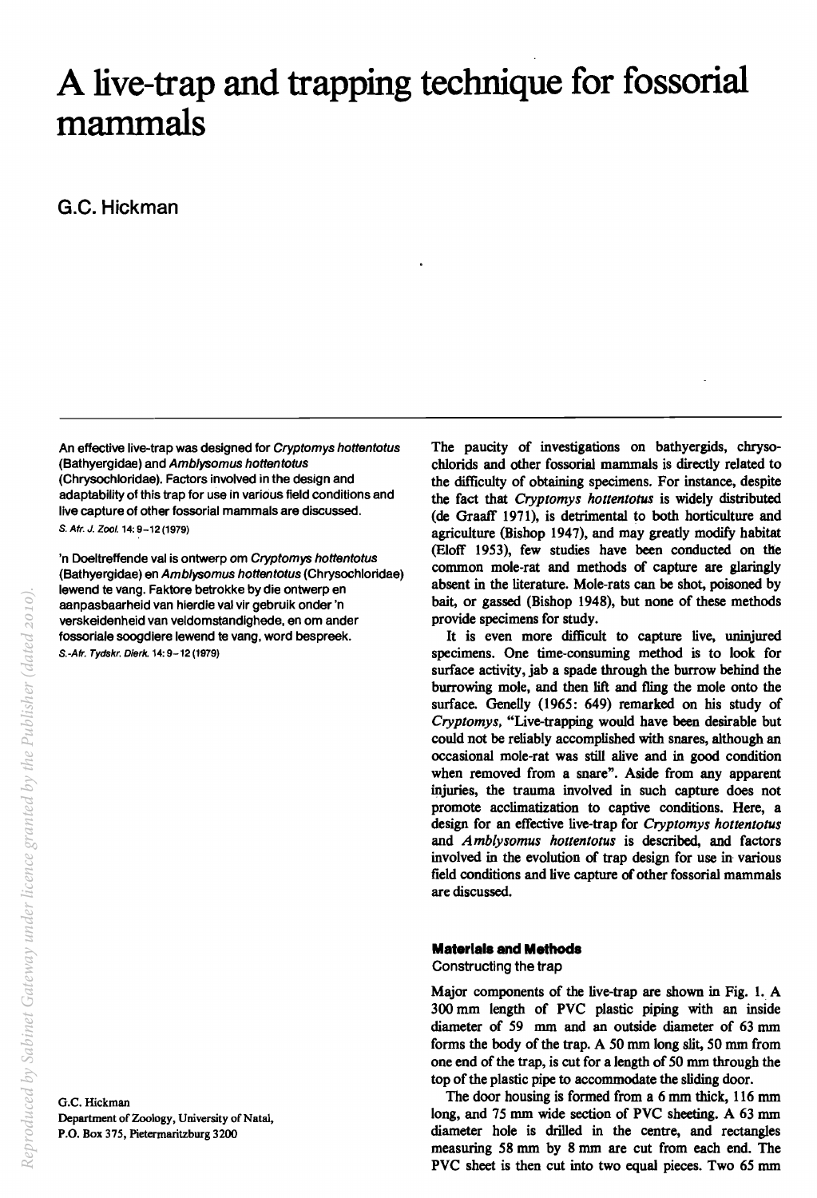# **A live-trap and trapping technique for fossorial mammals**

G.C. **Hickman** 

An effective live-trap was designed for Cryptomys hottentotus (Bathyergidae) and Amblysomus hottentotus (Chrysochloridae). Factors involved in the design and adaptability of this trap for use in various field conditions and live capture of other fossorial mammals are discussed. s. Afr. J. Zool. 14: 9-12 (1979)

'n Doeltreffende val is ontwerp om Cryptomys hottentotus (Bathyergidae) en Amblysomus hottentotus (Chrysochloridae) lewend te vang. Faktore betrokke by die ontwerp en aanpasbaarheid van hlerdie val vir gebruik onder 'n verskeidenheid van veldomstandlghede, en om ander fossoriale soogdiere lewend te vang, word bespreek. S.-Afr. Tydskr. Dierk. 14: 9-12 (1979)

G.C. Hickman Department of Zoology, University of Natal, P.O. Box 375, Pietermaritzburg 3200

The paucity of investigations on bathyergids, chrysochlorids and other fossorial mammals is directly related to the difficulty of obtaining specimens. For instance, despite the fact that *Cryptomys hottentotus* is widely distributed (de GraafT 1971), is detrimental to both horticulture and agriculture (Bishop 1947), and may greatly modify habitat (Eloff 1953), few studies have been conducted on the common mole-rat and methods of capture are glaringly absent in the literature. Mole-rats can be shot, poisoned by bait, or gassed (Bishop 1948), but none of these methods provide specimens for study.

It is even more difficult to capture live, uninjured specimens. One time-consuming method is to look for surface activity, jab a spade through the burrow behind the burrowing mole, and then lift and fling the mole onto the surface. Genelly (1965: 649) remarked on his study of *Cryptomys.* "Live-trapping would have been desirable but could not be reliably accomplished with snares, although an occasional mole-rat was still alive and in good condition when removed from a snare". Aside from any apparent injuries, the trauma involved in such capture does not promote acclimatization to captive conditions. Here, a design for an effective live-trap for *Cryptomys hottentotus*  and *Amb/ysomus hottentotus* is described, and factors involved in the evolution of trap design for use in various field conditions and live capture of other fossorial mammals are discussed.

# **Materials and Methods**

Constructing the trap

Major components of the live-trap are shown in Fig. 1. A 300 mm length of PVC plastic piping with an inside diameter of 59 mm and an outside diameter of 63 mm forms the body of the trap. A 50 mm long slit, 50 mm from one end of the trap, is cut for a length of 50 mm through the top of the plastic pipe to accommodate the sliding door.

The door housing is formed from a 6 mm thick, 116 mm long, and 75 mm wide section of PVC sheeting. A 63 mm diameter hole is drilled in the centre, and rectangles measuring 58 mm by 8 mm are cut from each end. The PVC sheet is then cut into two equal pieces. Two 65 mm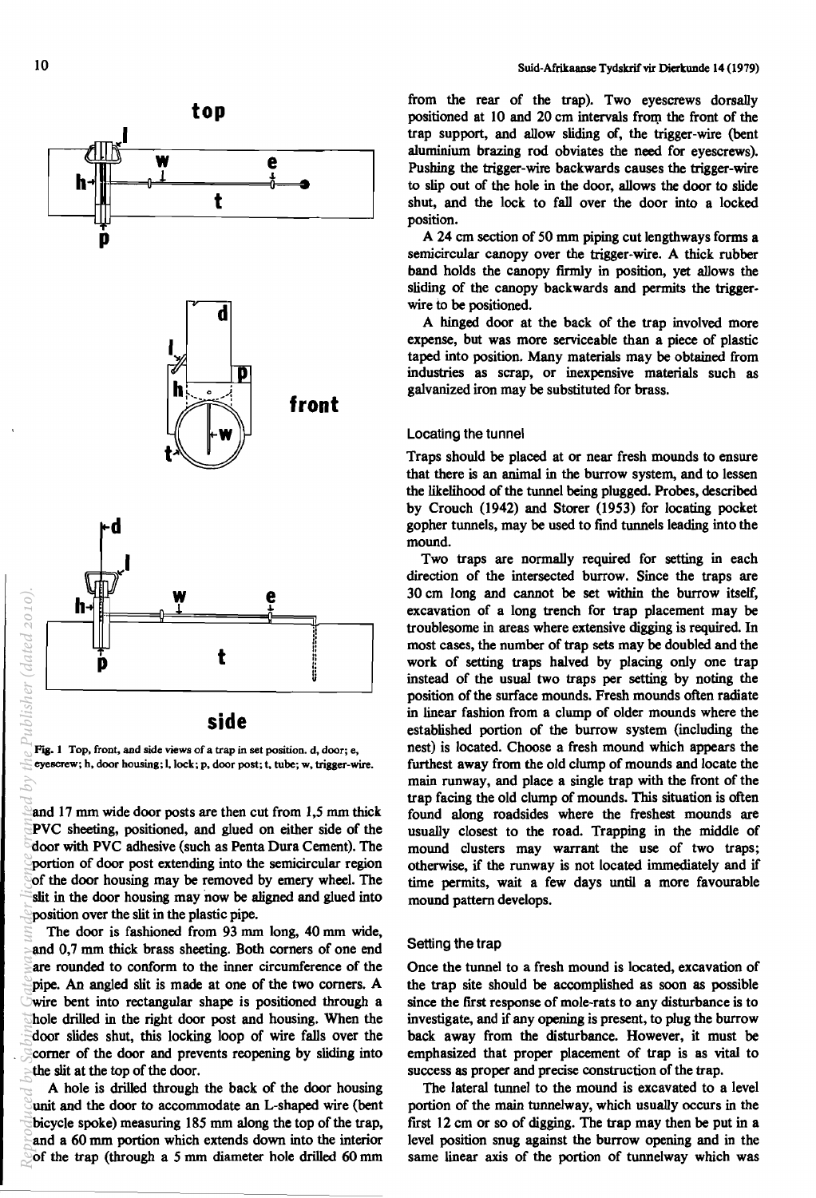



Fig. 1 Top, front, and side views of a trap in set position. d, door; e, eyescrew; h, door housing; I. lock; p, door post; t, tube; w, trigger-wire.

and 17 mm wide door posts are then cut from 1,5 mm thick PVC sheeting, positioned, and glued on either side of the door with PVC adhesive (such as Penta Dura Cement). The portion of door post extending into the semicircular region of the door housing may be removed by emery wheel. The slit in the door housing may now be aligned and glued into position over the slit in the plastic pipe.

The door is fashioned from 93 mm long, 40 mm wide, and 0,7 mm thick brass sheeting. Both corners of one end are rounded to conform to the inner circumference of the pipe. An angled slit is made at one of the two comers. A wire bent into rectangular shape is positioned through a hole drilled in the right door post and housing. When the door slides shut, this locking loop of wire falls over the comer of the door and prevents reopening by sliding into the slit at the top of the door. *Reproduced by Sabinet Gateway under licence granted by the Publisher (dated 2010).*

A hole is drilled through the back of the door housing unit and the door to accommodate an L-shaped wire (bent bicycle spoke) measuring 185 mm along the top of the trap, and a 60 mm portion which extends down into the interior of the trap (through a 5 mm diameter hole drilled 60 mm

from the rear of the trap). Two eyescrews dorsally positioned at 10 and 20 cm intervals from the front of the trap support, and allow sliding of, the trigger-wire (bent aluminium brazing rod obviates the need for eyescrews). Pushing the trigger-wire backwards causes the trigger-wire to slip out of the hole in the door, allows the door to slide shut, and the lock to fall over the door into a locked position.

A 24 cm section of 50 mm piping cut lengthways forms a semicircular canopy over the trigger-wire. A thick rubber band holds the canopy fIrmly in position, yet allows the sliding of the canopy backwards and permits the triggerwire to be positioned.

A hinged door at the back of the trap involved more expense, but was more serviceable than a piece of plastic taped into position. Many materials may be obtained from industries as scrap, or inexpensive materials such as galvanized iron may be substituted for brass.

## Locating the tunnel

Traps should be placed at or near fresh mounds to ensure that there is an animal in the burrow system, and to lessen the likelihood of the tunnel being plugged. Probes, described by Crouch (1942) and Storer (1953) for locating pocket gopher tunnels, may be used to find tunnels leading into the mound.

Two traps are normally required for setting in each direction of the intersected burrow. Since the traps are 30 cm long and cannot be set within the burrow itself, excavation of a long trench for trap placement may be troublesome in areas where extensive digging is required. In most cases, the number of trap sets may be doubled and the work of setting traps halved by placing only one trap instead of the usual two traps per setting by noting the position of the surface mounds. Fresh mounds often radiate in linear fashion from a clump of older mounds where the established portion of the burrow system (including the nest) is located. Choose a fresh mound which appears the furthest away from the old clump of mounds and locate the main runway, and place a single trap with the front of the trap facing the old clump of mounds. This situation is often found along roadsides where the freshest mounds are usually closest to the road. Trapping in the middle of mound clusters may warrant the use of two traps; otherwise, if the runway is not located immediately and if time permits, wait a few days until a more favourable mound pattern develops.

#### Setting the trap

Once the tunnel to a fresh mound is located, excavation of the trap site should be accomplished as soon as possible since the fIrst response of mole-rats to any disturbance is to investigate, and if any opening is present, to plug the burrow back away from the disturbance. However, it must be emphasized that proper placement of trap is as vital to success as proper and precise construction of the trap.

The lateral tunnel to the mound is excavated to a level portion of the main tunnelway, which usually occurs in the first  $12 \text{ cm}$  or so of digging. The trap may then be put in a level position snug against the burrow opening and in the same linear axis of the portion of tunnelway which was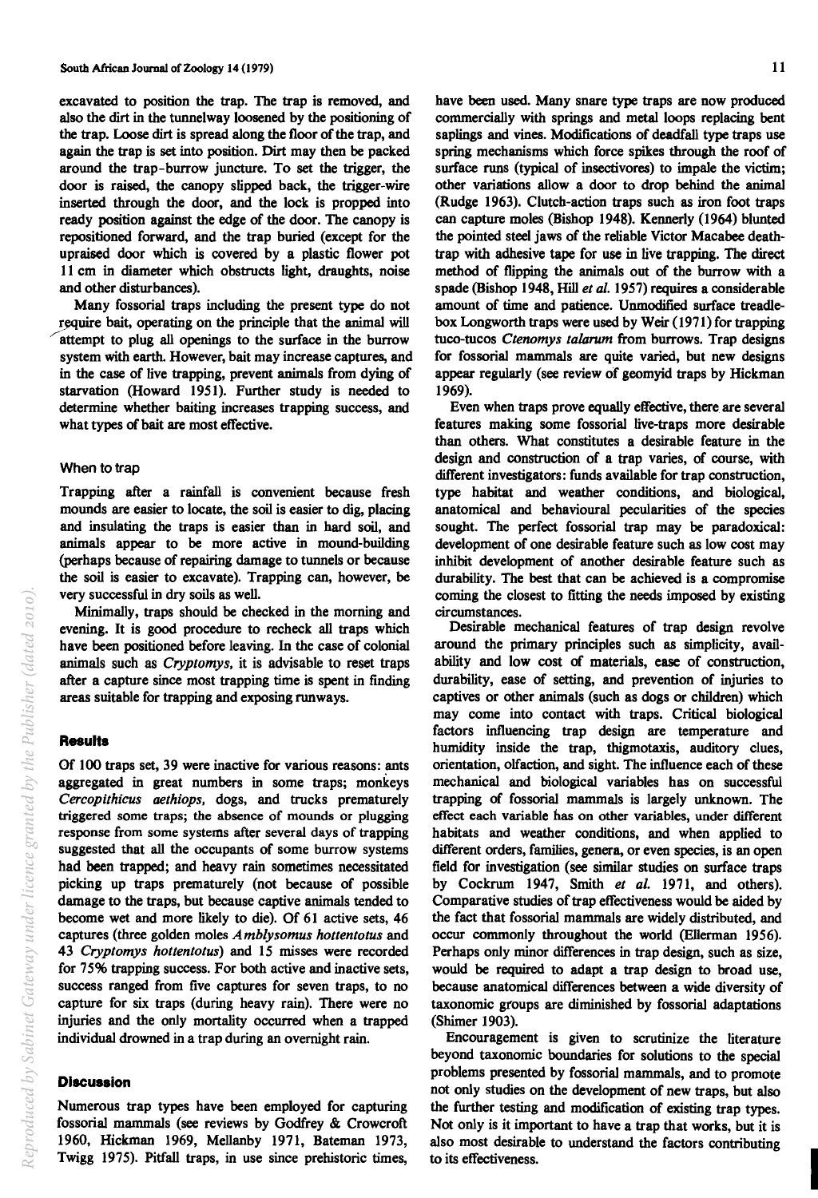excavated to position the trap. The trap is removed, and also the dirt in the tunnelway loosened by the positioning of the trap. Loose dirt is spread along the floor of the trap, and again the trap is set into position. Dirt may then be packed around the trap-burrow juncture. To set the trigger, the door is raised, the canopy slipped back, the trigger-wire inserted through the door, and the lock is propped into ready position against the edge of the door. The canopy is repositioned forward, and the trap buried (except for the upraised door which is covered by a plastic flower pot 11 cm in diameter which obstructs light, draughts, noise and other disturbances).

Many fossorial traps including the present type do not require bait, operating on the principle that the animal will attempt to plug all openings to the surface in the burrow system with earth. However, bait may increase captures, and in the case of live trapping, prevent animals from dying of starvation (Howard 1951). Further study is needed to determine whether baiting increases trapping success, and what types of bait are most effective.

#### When to trap

Trapping after a rainfall is convenient because fresh mounds are easier to locate, the soil is easier to dig, placing and insulating the traps is easier than in hard soil, and animals appear to be more active in mound-building (perhaps because of repairing damage to tunnels or because the soil is easier to excavate). Trapping can, however, be very successful in dry soils as well.

Minimally, traps should be checked in the morning and evening. It is good procedure to recheck all traps which have been positioned before leaving. In the case of colonial animals such as *Cryptomys,* it is advisable to reset traps after a capture since most trapping time is spent in finding areas suitable for trapping and exposing runways.

#### **Results**

Of 100 traps set, 39 were inactive for various reasons: ants aggregated in great numbers in some traps; monkeys *Cercopithicus aethiops,* dogs, and trucks prematurely triggered some traps; the absence of mounds or plugging response from some systems after several days of trapping suggested that all the occupants of some burrow systems had been trapped; and heavy rain sometimes necessitated picking up traps prematurely (not because of possible damage to the traps, but because captive animals tended to become wet and more likely to die). Of 61 active sets, 46 captures (three golden moles *Amblysomus hottentotus* and *43 Cryptomys hottentotus)* and 15 misses were recorded for 75% trapping success. For both active and inactive sets, success ranged from five captures for seven traps, to no capture for six traps (during heavy rain). There were no injuries and the only mortality occurred when a trapped individual drowned in a trap during an overnight rain.

#### **Discussion**

Numerous trap types have been employed for capturing fossorial mammals (see reviews by Godfrey & Crowcroft 1960, Hickman 1969, Mellanby 1971, Bateman 1973, Twigg 1975). Pitfall traps, in use since prehistoric times,

have been used. Many snare type traps are now produced commercially with springs and metal loops replacing bent saplings and vines. Modifications of deadfall type traps use spring mechanisms which force spikes through the roof of surface runs (typical of insectivores) to impale the victim; other variations allow a door to drop behind the animal (Rudge 1963). Clutch-action traps such as iron foot traps can capture moles (Bishop 1948). Kennerly (1964) blunted the pointed steel jaws of the reliable Victor Macabee deathtrap with adhesive tape for use in live trapping. The direct method of flipping the animals out of the burrow with a spade (Bishop 1948, Hill *et al.* 1957) requires a considerable amount of time and patience. Unmodified surface treadlebox Longworth traps were used by Weir (1971) for trapping tuco-tucos *Ctenomys taiarum* from burrows. Trap designs for fossorial mammals are quite varied, but new designs appear regularly (see review of geomyid traps by Hickman 1969).

Even when traps prove equally effective, there are several features making some fossorial live-traps more desirable than others. What constitutes a desirable feature in the design and construction of a trap varies, of course, with different investigators: funds available for trap construction, type habitat and weather conditions, and biological, anatomical and behavioural pecularities of the species sought. The perfect fossorial trap may be paradoxical: development of one desirable feature such as low cost may inhibit development of another desirable feature such as durability. The best that can be achieved is a compromise coming the closest to fitting the needs imposed by existing circumstances.

Desirable mechanical features of trap design revolve around the primary principles such as simplicity, availability and low cost of materials, ease of construction, durability, ease of setting, and prevention of injuries to captives or other animals (such as dogs or children) which may come into contact with traps. Critical biological factors influencing trap design are temperature and humidity inside the trap, thigmotaxis, auditory clues, orientation, olfaction, and sight. The influence each of these mechanical and biological variables has on successful trapping of fossorial mammals is largely unknown. The effect each variable has on other variables, under different habitats and weather conditions, and when applied to different orders, families, genera, or even species, is an open field for investigation (see similar studies on surface traps by Cockrum 1947, Smith *et al.* 1971, and others). Comparative studies of trap effectiveness would be aided by the fact that fossorial mammals are widely distributed, and occur commonly throughout the world (Ellerman 1956). Perhaps only minor differences in trap design, such as size, would be required to adapt a trap design to broad use, because anatomical differences between a wide diversity of taxonomic groups are diminished by fossorial adaptations (Shimer 1903).

Encouragement is given to scrutinize the literature beyond taxonomic boundaries for solutions to the special problems presented by fossorial mammals, and to promote not only studies on the development of new traps, but also the further testing and modification of existing trap types. Not only is it important to have a trap that works, but it is also most desirable to understand the factors contributing the its effectiveness.<br>to its effectiveness.